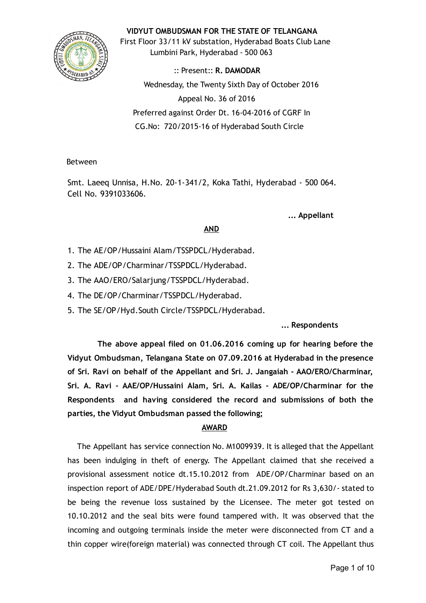

#### VIDYUT OMBUDSMAN FOR THE STATE OF TELANGANA

First Floor 33/11 kV substation, Hyderabad Boats Club Lane Lumbini Park, Hyderabad ‐ 500 063

:: Present:: R. DAMODAR Wednesday, the Twenty Sixth Day of October 2016 Appeal No. 36 of 2016 Preferred against Order Dt. 16‐04‐2016 of CGRF In CG.No: 720/2015‐16 of Hyderabad South Circle

Between

Smt. Laeeq Unnisa, H.No. 20‐1‐341/2, Koka Tathi, Hyderabad ‐ 500 064. Cell No. 9391033606.

... Appellant

# AND

- 1. The AE/OP/Hussaini Alam/TSSPDCL/Hyderabad.
- 2. The ADE/OP/Charminar/TSSPDCL/Hyderabad.
- 3. The AAO/ERO/Salarjung/TSSPDCL/Hyderabad.
- 4. The DE/OP/Charminar/TSSPDCL/Hyderabad.
- 5. The SE/OP/Hyd.South Circle/TSSPDCL/Hyderabad.

... Respondents

The above appeal filed on 01.06.2016 coming up for hearing before the Vidyut Ombudsman, Telangana State on 07.09.2016 at Hyderabad in the presence of Sri. Ravi on behalf of the Appellant and Sri. J. Jangaiah ‐ AAO/ERO/Charminar, Sri. A. Ravi ‐ AAE/OP/Hussaini Alam, Sri. A. Kailas ‐ ADE/OP/Charminar for the Respondents and having considered the record and submissions of both the parties, the Vidyut Ombudsman passed the following;

# AWARD

The Appellant has service connection No. M1009939. It is alleged that the Appellant has been indulging in theft of energy. The Appellant claimed that she received a provisional assessment notice dt.15.10.2012 from ADE/OP/Charminar based on an inspection report of ADE/DPE/Hyderabad South dt.21.09.2012 for Rs 3,630/‐ stated to be being the revenue loss sustained by the Licensee. The meter got tested on 10.10.2012 and the seal bits were found tampered with. It was observed that the incoming and outgoing terminals inside the meter were disconnected from CT and a thin copper wire(foreign material) was connected through CT coil. The Appellant thus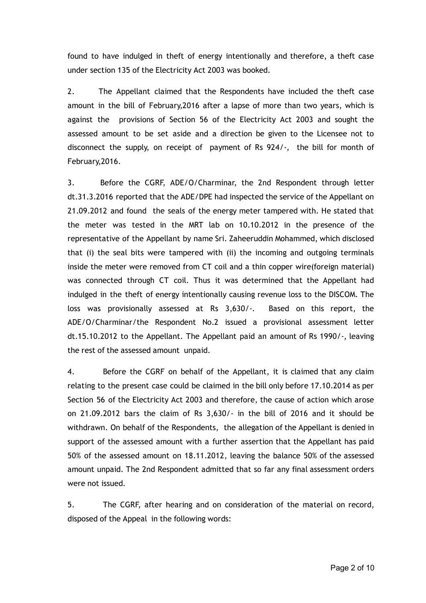found to have indulged in theft of energy intentionally and therefore, a theft case under section 135 of the Electricity Act 2003 was booked.

2. The Appellant claimed that the Respondents have included the theft case amount in the bill of February,2016 after a lapse of more than two years, which is against the provisions of Section 56 of the Electricity Act 2003 and sought the assessed amount to be set aside and a direction be given to the Licensee not to disconnect the supply, on receipt of payment of Rs 924/‐, the bill for month of February,2016.

3. Before the CGRF, ADE/O/Charminar, the 2nd Respondent through letter dt.31.3.2016 reported that the ADE/DPE had inspected the service of the Appellant on 21.09.2012 and found the seals of the energy meter tampered with. He stated that the meter was tested in the MRT lab on 10.10.2012 in the presence of the representative of the Appellant by name Sri. Zaheeruddin Mohammed, which disclosed that (i) the seal bits were tampered with (ii) the incoming and outgoing terminals inside the meter were removed from CT coil and a thin copper wire(foreign material) was connected through CT coil. Thus it was determined that the Appellant had indulged in the theft of energy intentionally causing revenue loss to the DISCOM. The loss was provisionally assessed at Rs 3,630/‐. Based on this report, the ADE/O/Charminar/the Respondent No.2 issued a provisional assessment letter dt.15.10.2012 to the Appellant. The Appellant paid an amount of Rs 1990/‐, leaving the rest of the assessed amount unpaid.

4. Before the CGRF on behalf of the Appellant, it is claimed that any claim relating to the present case could be claimed in the bill only before 17.10.2014 as per Section 56 of the Electricity Act 2003 and therefore, the cause of action which arose on 21.09.2012 bars the claim of Rs 3,630/‐ in the bill of 2016 and it should be withdrawn. On behalf of the Respondents, the allegation of the Appellant is denied in support of the assessed amount with a further assertion that the Appellant has paid 50% of the assessed amount on 18.11.2012, leaving the balance 50% of the assessed amount unpaid. The 2nd Respondent admitted that so far any final assessment orders were not issued.

5. The CGRF, after hearing and on consideration of the material on record, disposed of the Appeal in the following words: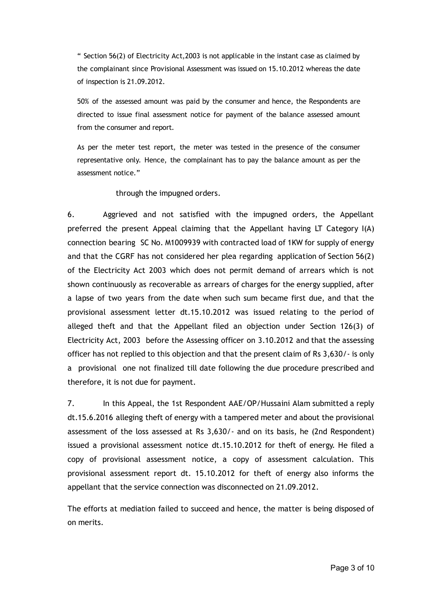" Section 56(2) of Electricity Act,2003 is not applicable in the instant case as claimed by the complainant since Provisional Assessment was issued on 15.10.2012 whereas the date of inspection is 21.09.2012.

50% of the assessed amount was paid by the consumer and hence, the Respondents are directed to issue final assessment notice for payment of the balance assessed amount from the consumer and report.

As per the meter test report, the meter was tested in the presence of the consumer representative only. Hence, the complainant has to pay the balance amount as per the assessment notice."

through the impugned orders.

6. Aggrieved and not satisfied with the impugned orders, the Appellant preferred the present Appeal claiming that the Appellant having LT Category I(A) connection bearing SC No. M1009939 with contracted load of 1KW for supply of energy and that the CGRF has not considered her plea regarding application of Section 56(2) of the Electricity Act 2003 which does not permit demand of arrears which is not shown continuously as recoverable as arrears of charges for the energy supplied, after a lapse of two years from the date when such sum became first due, and that the provisional assessment letter dt.15.10.2012 was issued relating to the period of alleged theft and that the Appellant filed an objection under Section 126(3) of Electricity Act, 2003 before the Assessing officer on 3.10.2012 and that the assessing officer has not replied to this objection and that the present claim of Rs 3,630/‐ is only a provisional one not finalized till date following the due procedure prescribed and therefore, it is not due for payment.

7. In this Appeal, the 1st Respondent AAE/OP/Hussaini Alam submitted a reply dt.15.6.2016 alleging theft of energy with a tampered meter and about the provisional assessment of the loss assessed at Rs 3,630/‐ and on its basis, he (2nd Respondent) issued a provisional assessment notice dt.15.10.2012 for theft of energy. He filed a copy of provisional assessment notice, a copy of assessment calculation. This provisional assessment report dt. 15.10.2012 for theft of energy also informs the appellant that the service connection was disconnected on 21.09.2012.

The efforts at mediation failed to succeed and hence, the matter is being disposed of on merits.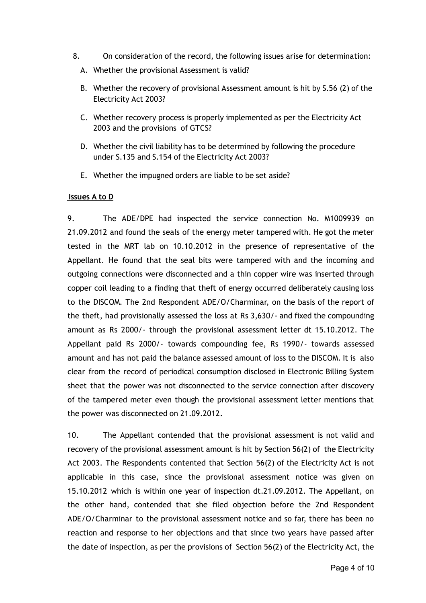- 8. On consideration of the record, the following issues arise for determination:
	- A. Whether the provisional Assessment is valid?
	- B. Whether the recovery of provisional Assessment amount is hit by S.56 (2) of the Electricity Act 2003?
	- C. Whether recovery process is properly implemented as per the Electricity Act 2003 and the provisions of GTCS?
	- D. Whether the civil liability has to be determined by following the procedure under S.135 and S.154 of the Electricity Act 2003?
	- E. Whether the impugned orders are liable to be set aside?

### Issues A to D

9. The ADE/DPE had inspected the service connection No. M1009939 on 21.09.2012 and found the seals of the energy meter tampered with. He got the meter tested in the MRT lab on 10.10.2012 in the presence of representative of the Appellant. He found that the seal bits were tampered with and the incoming and outgoing connections were disconnected and a thin copper wire was inserted through copper coil leading to a finding that theft of energy occurred deliberately causing loss to the DISCOM. The 2nd Respondent ADE/O/Charminar, on the basis of the report of the theft, had provisionally assessed the loss at Rs 3,630/‐ and fixed the compounding amount as Rs 2000/‐ through the provisional assessment letter dt 15.10.2012. The Appellant paid Rs 2000/‐ towards compounding fee, Rs 1990/‐ towards assessed amount and has not paid the balance assessed amount of loss to the DISCOM. It is also clear from the record of periodical consumption disclosed in Electronic Billing System sheet that the power was not disconnected to the service connection after discovery of the tampered meter even though the provisional assessment letter mentions that the power was disconnected on 21.09.2012.

10. The Appellant contended that the provisional assessment is not valid and recovery of the provisional assessment amount is hit by Section 56(2) of the Electricity Act 2003. The Respondents contented that Section 56(2) of the Electricity Act is not applicable in this case, since the provisional assessment notice was given on 15.10.2012 which is within one year of inspection dt.21.09.2012. The Appellant, on the other hand, contended that she filed objection before the 2nd Respondent ADE/O/Charminar to the provisional assessment notice and so far, there has been no reaction and response to her objections and that since two years have passed after the date of inspection, as per the provisions of Section 56(2) of the Electricity Act, the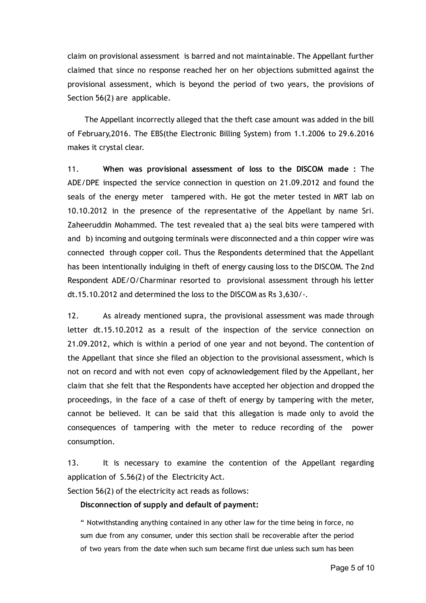claim on provisional assessment is barred and not maintainable. The Appellant further claimed that since no response reached her on her objections submitted against the provisional assessment, which is beyond the period of two years, the provisions of Section 56(2) are applicable.

The Appellant incorrectly alleged that the theft case amount was added in the bill of February,2016. The EBS(the Electronic Billing System) from 1.1.2006 to 29.6.2016 makes it crystal clear.

11. When was provisional assessment of loss to the DISCOM made : The ADE/DPE inspected the service connection in question on 21.09.2012 and found the seals of the energy meter tampered with. He got the meter tested in MRT lab on 10.10.2012 in the presence of the representative of the Appellant by name Sri. Zaheeruddin Mohammed. The test revealed that a) the seal bits were tampered with and b) incoming and outgoing terminals were disconnected and a thin copper wire was connected through copper coil. Thus the Respondents determined that the Appellant has been intentionally indulging in theft of energy causing loss to the DISCOM. The 2nd Respondent ADE/O/Charminar resorted to provisional assessment through his letter dt.15.10.2012 and determined the loss to the DISCOM as Rs 3,630/‐.

12. As already mentioned supra, the provisional assessment was made through letter dt.15.10.2012 as a result of the inspection of the service connection on 21.09.2012, which is within a period of one year and not beyond. The contention of the Appellant that since she filed an objection to the provisional assessment, which is not on record and with not even copy of acknowledgement filed by the Appellant, her claim that she felt that the Respondents have accepted her objection and dropped the proceedings, in the face of a case of theft of energy by tampering with the meter, cannot be believed. It can be said that this allegation is made only to avoid the consequences of tampering with the meter to reduce recording of the power consumption.

13. It is necessary to examine the contention of the Appellant regarding application of S.56(2) of the Electricity Act.

Section 56(2) of the electricity act reads as follows:

#### Disconnection of supply and default of payment:

" Notwithstanding anything contained in any other law for the time being in force, no sum due from any consumer, under this section shall be recoverable after the period of two years from the date when such sum became first due unless such sum has been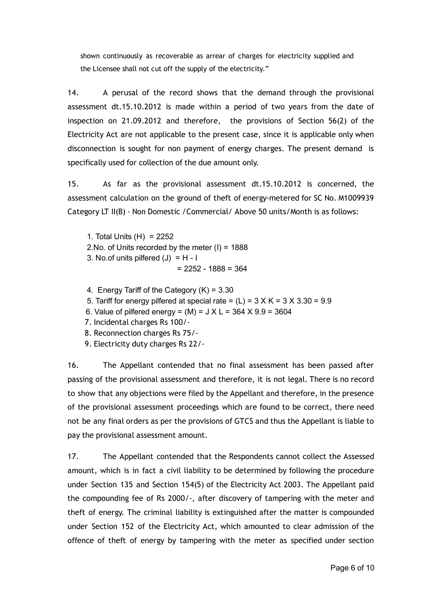shown continuously as recoverable as arrear of charges for electricity supplied and the Licensee shall not cut off the supply of the electricity."

14. A perusal of the record shows that the demand through the provisional assessment dt.15.10.2012 is made within a period of two years from the date of inspection on 21.09.2012 and therefore, the provisions of Section 56(2) of the Electricity Act are not applicable to the present case, since it is applicable only when disconnection is sought for non payment of energy charges. The present demand is specifically used for collection of the due amount only.

15. As far as the provisional assessment dt.15.10.2012 is concerned, the assessment calculation on the ground of theft of energy-metered for SC No. M1009939 Category LT II(B) ‐ Non Domestic /Commercial/ Above 50 units/Month is as follows:

1. Total Units (H) = 2252 2.No. of Units recorded by the meter (I) = 1888 3. No.of units pilfered  $(J) = H - I$  $= 2252 - 1888 = 364$ 

4. Energy Tariff of the Category (K) = 3.30

5. Tariff for energy pilfered at special rate =  $(L)$  = 3 X K = 3 X 3.30 = 9.9

6. Value of pilfered energy =  $(M)$  =  $J X L$  = 364  $X 9.9$  = 3604

7. Incidental charges Rs 100/‐

8. Reconnection charges Rs 75/‐

9. Electricity duty charges Rs 22/‐

16. The Appellant contended that no final assessment has been passed after passing of the provisional assessment and therefore, it is not legal. There is no record to show that any objections were filed by the Appellant and therefore, in the presence of the provisional assessment proceedings which are found to be correct, there need not be any final orders as per the provisions of GTCS and thus the Appellant is liable to pay the provisional assessment amount.

17. The Appellant contended that the Respondents cannot collect the Assessed amount, which is in fact a civil liability to be determined by following the procedure under Section 135 and Section 154(5) of the Electricity Act 2003. The Appellant paid the compounding fee of Rs 2000/‐, after discovery of tampering with the meter and theft of energy. The criminal liability is extinguished after the matter is compounded under Section 152 of the Electricity Act, which amounted to clear admission of the offence of theft of energy by tampering with the meter as specified under section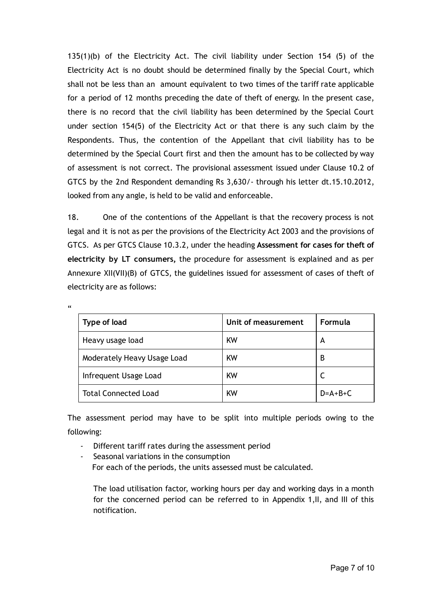135(1)(b) of the Electricity Act. The civil liability under Section 154 (5) of the Electricity Act is no doubt should be determined finally by the Special Court, which shall not be less than an amount equivalent to two times of the tariff rate applicable for a period of 12 months preceding the date of theft of energy. In the present case, there is no record that the civil liability has been determined by the Special Court under section 154(5) of the Electricity Act or that there is any such claim by the Respondents. Thus, the contention of the Appellant that civil liability has to be determined by the Special Court first and then the amount has to be collected by way of assessment is not correct. The provisional assessment issued under Clause 10.2 of GTCS by the 2nd Respondent demanding Rs 3,630/‐ through his letter dt.15.10.2012, looked from any angle, is held to be valid and enforceable.

18. One of the contentions of the Appellant is that the recovery process is not legal and it is not as per the provisions of the Electricity Act 2003 and the provisions of GTCS. As per GTCS Clause 10.3.2, under the heading Assessment for cases for theft of electricity by LT consumers, the procedure for assessment is explained and as per Annexure XII(VII)(B) of GTCS, the guidelines issued for assessment of cases of theft of electricity are as follows:

| Type of load                | Unit of measurement | Formula   |
|-----------------------------|---------------------|-----------|
| Heavy usage load            | KW                  | А         |
| Moderately Heavy Usage Load | KW                  | B         |
| Infrequent Usage Load       | KW                  |           |
| <b>Total Connected Load</b> | <b>KW</b>           | $D=A+B+C$ |

The assessment period may have to be split into multiple periods owing to the following:

‐ Different tariff rates during the assessment period

 $\alpha$ 

‐ Seasonal variations in the consumption For each of the periods, the units assessed must be calculated.

The load utilisation factor, working hours per day and working days in a month for the concerned period can be referred to in Appendix 1,II, and III of this notification.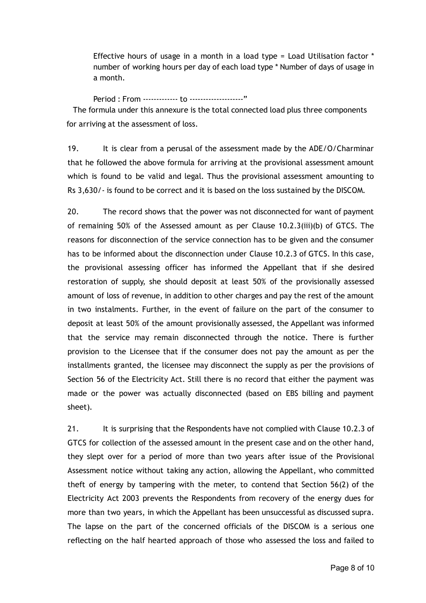Effective hours of usage in a month in a load type = Load Utilisation factor \* number of working hours per day of each load type \* Number of days of usage in a month.

Period : From ‐‐‐‐‐‐‐‐‐‐‐‐‐ to ‐‐‐‐‐‐‐‐‐‐‐‐‐‐‐‐‐‐‐‐" The formula under this annexure is the total connected load plus three components for arriving at the assessment of loss.

19. It is clear from a perusal of the assessment made by the ADE/O/Charminar that he followed the above formula for arriving at the provisional assessment amount which is found to be valid and legal. Thus the provisional assessment amounting to Rs 3,630/‐ is found to be correct and it is based on the loss sustained by the DISCOM.

20. The record shows that the power was not disconnected for want of payment of remaining 50% of the Assessed amount as per Clause 10.2.3(iii)(b) of GTCS. The reasons for disconnection of the service connection has to be given and the consumer has to be informed about the disconnection under Clause 10.2.3 of GTCS. In this case, the provisional assessing officer has informed the Appellant that if she desired restoration of supply, she should deposit at least 50% of the provisionally assessed amount of loss of revenue, in addition to other charges and pay the rest of the amount in two instalments. Further, in the event of failure on the part of the consumer to deposit at least 50% of the amount provisionally assessed, the Appellant was informed that the service may remain disconnected through the notice. There is further provision to the Licensee that if the consumer does not pay the amount as per the installments granted, the licensee may disconnect the supply as per the provisions of Section 56 of the Electricity Act. Still there is no record that either the payment was made or the power was actually disconnected (based on EBS billing and payment sheet).

21. It is surprising that the Respondents have not complied with Clause 10.2.3 of GTCS for collection of the assessed amount in the present case and on the other hand, they slept over for a period of more than two years after issue of the Provisional Assessment notice without taking any action, allowing the Appellant, who committed theft of energy by tampering with the meter, to contend that Section 56(2) of the Electricity Act 2003 prevents the Respondents from recovery of the energy dues for more than two years, in which the Appellant has been unsuccessful as discussed supra. The lapse on the part of the concerned officials of the DISCOM is a serious one reflecting on the half hearted approach of those who assessed the loss and failed to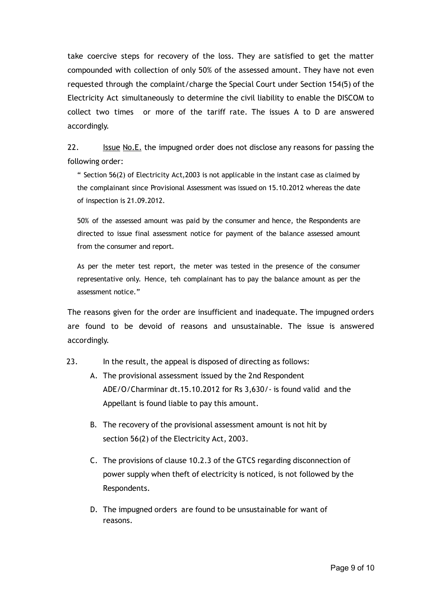take coercive steps for recovery of the loss. They are satisfied to get the matter compounded with collection of only 50% of the assessed amount. They have not even requested through the complaint/charge the Special Court under Section 154(5) of the Electricity Act simultaneously to determine the civil liability to enable the DISCOM to collect two times or more of the tariff rate. The issues A to D are answered accordingly.

22. Issue No.E. the impugned order does not disclose any reasons for passing the following order:

" Section 56(2) of Electricity Act,2003 is not applicable in the instant case as claimed by the complainant since Provisional Assessment was issued on 15.10.2012 whereas the date of inspection is 21.09.2012.

50% of the assessed amount was paid by the consumer and hence, the Respondents are directed to issue final assessment notice for payment of the balance assessed amount from the consumer and report.

As per the meter test report, the meter was tested in the presence of the consumer representative only. Hence, teh complainant has to pay the balance amount as per the assessment notice."

The reasons given for the order are insufficient and inadequate. The impugned orders are found to be devoid of reasons and unsustainable. The issue is answered accordingly.

- 23. In the result, the appeal is disposed of directing as follows:
	- A. The provisional assessment issued by the 2nd Respondent ADE/O/Charminar dt.15.10.2012 for Rs 3,630/‐ is found valid and the Appellant is found liable to pay this amount.
	- B. The recovery of the provisional assessment amount is not hit by section 56(2) of the Electricity Act, 2003.
	- C. The provisions of clause 10.2.3 of the GTCS regarding disconnection of power supply when theft of electricity is noticed, is not followed by the Respondents.
	- D. The impugned orders are found to be unsustainable for want of reasons.